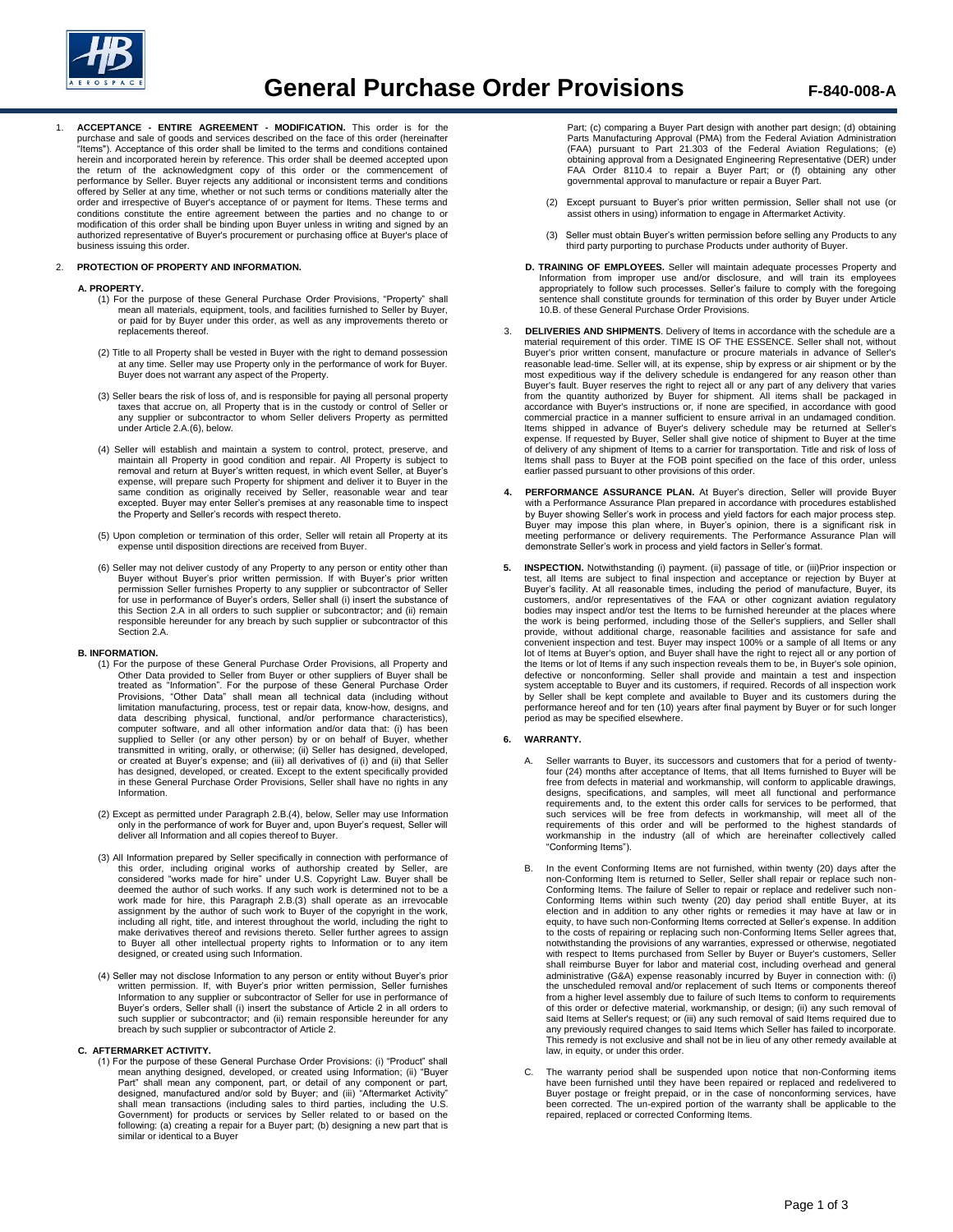

1. **ACCEPTANCE - ENTIRE AGREEMENT - MODIFICATION.** This order is for the purchase and sale of goods and services described on the face of this order (hereinafter "Items"). Acceptance of this order shall be limited to the terms and conditions contained herein and incorporated herein by reference. This order shall be deemed accepted upon the return of the acknowledgment copy of this order or the commencement of performance by Seller. Buyer rejects any additional or inconsistent terms and conditions offered by Seller at any time, whether or not such terms or conditions materially alter the order and irrespective of Buyer's acceptance of or payment for Items. These terms and conditions constitute the entire agreement between the parties and no change to or modification of this order shall be binding upon Buyer unless in writing and signed by an authorized representative of Buyer's procurement or purchasing office at Buyer's place of business issuing this order.

# 2. **PROTECTION OF PROPERTY AND INFORMATION.**

## **A. PROPERTY.**

- (1) For the purpose of these General Purchase Order Provisions, "Property" shall mean all materials, equipment, tools, and facilities furnished to Seller by Buyer, or paid for by Buyer under this order, as well as any improvements thereto or replacements thereof.
- (2) Title to all Property shall be vested in Buyer with the right to demand possession at any time. Seller may use Property only in the performance of work for Buyer. Buyer does not warrant any aspect of the Property.
- (3) Seller bears the risk of loss of, and is responsible for paying all personal property taxes that accrue on, all Property that is in the custody or control of Seller or any supplier or subcontractor to whom Seller delivers Property as permitted under Article 2.A.(6), below.
- (4) Seller will establish and maintain a system to control, protect, preserve, and maintain all Property in good condition and repair. All Property is subject to removal and return at Buyer's written request, in which event Seller, at Buyer's<br>expense, will prepare such Property for shipment and deliver it to Buyer in the<br>same condition as originally received by Seller, reaso excepted. Buyer may enter Seller's premises at any reasonable time to inspect the Property and Seller's records with respect thereto.
- (5) Upon completion or termination of this order, Seller will retain all Property at its expense until disposition directions are received from Buyer.
- (6) Seller may not deliver custody of any Property to any person or entity other than<br>Buyer without Buyer's prior written permission. If with Buyer's prior written<br>permission Seller furnishes Property to any supplier or su this Section 2.A in all orders to such supplier or subcontractor; and (ii) remain responsible hereunder for any breach by such supplier or subcontractor of this Section 2.A.

#### **B. INFORMATION.**

- (1) For the purpose of these General Purchase Order Provisions, all Property and Other Data provided to Seller from Buyer or other suppliers of Buyer shall be<br>treated as "Information". For the purpose of these General Purchase Order<br>Provisions, "Other Data" shall mean all technical data (including with data describing physical, functional, and/or performance characteristics), computer software, and all other information and/or data that: (i) has been supplied to Seller (or any other person) by or on behalf of Buyer, whether transmitted in writing, orally, or otherwise; (ii) Seller has designed, developed, or created at Buyer's expense; and (iii) all derivatives of (i) and (ii) that Seller has designed, developed, or created. Except to the extent specifically provided in these General Purchase Order Provisions, Seller shall have no rights in any Information.
- (2) Except as permitted under Paragraph 2.B.(4), below, Seller may use Information only in the performance of work for Buyer and, upon Buyer's request, Seller will deliver all Information and all copies thereof to Buyer.
- (3) All Information prepared by Seller specifically in connection with performance of<br>this order, including original works of authorship created by Seller, are<br>considered "works made for hire" under U.S. Copyright Law. Buy deemed the author of such works. If any such work is determined not to be a<br>work made for hire, this Paragraph 2.B.(3) shall operate as an irrevocable<br>assignment by the author of such work to Buyer of the copyright in the including all right, title, and interest throughout the world, including the right to make derivatives thereof and revisions thereto. Seller further agrees to assign to Buyer all other intellectual property rights to Information or to any item designed, or created using such Information.
- (4) Seller may not disclose Information to any person or entity without Buyer's prior written permission. If, with Buyer's prior written permission, Seller furnishes Information to any supplier or subcontractor of Seller for use in performance of Buyer's orders, Seller shall (i) insert the substance of Article 2 in all orders to such supplier or subcontractor; and (ii) remain responsible hereunder for any breach by such supplier or subcontractor of Article 2.

# **C. AFTERMARKET ACTIVITY.**

(1) For the purpose of these General Purchase Order Provisions: (i) "Product" shall mean anything designed, developed, or created using Information; (ii) "Buyer Part" shall mean any component, part, or detail of any component or part, designed, manufactured and/or sold by Buyer; and (iii) "Aftermarket Activity" shall mean transactions (including sales to third parties, including the U.S. Government) for products or services by Seller related to or based on the following: (a) creating a repair for a Buyer part; (b) designing a new part that is similar or identical to a Buyer

Part; (c) comparing a Buyer Part design with another part design; (d) obtaining Parts Manufacturing Approval (PMA) from the Federal Aviation Administration (FAA) pursuant to Part 21.303 of the Federal Aviation Regulations; (e) obtaining approval from a Designated Engineering Representative (DER) under FAA Order 8110.4 to repair a Buyer Part; or (f) obtaining any other governmental approval to manufacture or repair a Buyer Part.

- (2) Except pursuant to Buyer's prior written permission, Seller shall not use (or assist others in using) information to engage in Aftermarket Activity.
- (3) Seller must obtain Buyer's written permission before selling any Products to any third party purporting to purchase Products under authority of Buyer.
- **D. TRAINING OF EMPLOYEES.** Seller will maintain adequate processes Property and Information from improper use and/or disclosure, and will train its employees appropriately to follow such processes. Seller's failure to comply with the foregoing sentence shall constitute grounds for termination of this order by Buyer under Article 10.B. of these General Purchase Order Provisions.
- 3. **DELIVERIES AND SHIPMENTS**. Delivery of Items in accordance with the schedule are a material requirement of this order. TIME IS OF THE ESSENCE. Seller shall not, without Buyer's prior written consent, manufacture or procure materials in advance of Seller's reasonable lead-time. Seller will, at its expense, ship by express or air shipment or by the most expeditious way if the delivery schedule is endangered for any reason other than Buyer's fault. Buyer reserves the right to reject all or any part of any delivery that varies from the quantity authorized by Buyer for shipment. All items shall be packaged in accordance with Buyer's instructions or, if none are specified, in accordance with good commercial practice in a manner sufficient to ensure arrival in an undamaged condition.<br>Items shipped in advance of Buyer's delivery schedule may be returned at Seller's<br>expense. If requested by Buyer, Seller shall give no of delivery of any shipment of Items to a carrier for transportation. Title and risk of loss of Items shall pass to Buyer at the FOB point specified on the face of this order, unless earlier passed pursuant to other provisions of this order.
- PERFORMANCE ASSURANCE PLAN. At Buyer's direction, Seller will provide Buyer with a Performance Assurance Plan prepared in accordance with procedures established by Buyer showing Seller's work in process and yield factors for each major process step. Buyer may impose this plan where, in Buyer's opinion, there is a significant risk in meeting performance or delivery requirements. The Performance Assurance Plan will demonstrate Seller's work in process and yield factors in Seller's format.
- **5. INSPECTION.** Notwithstanding (i) payment. (ii) passage of title, or (iii)Prior inspection or test, all Items are subject to final inspection and acceptance or rejection by Buyer at Buyer's facility. At all reasonable times, including the period of manufacture, Buyer, its customers, and/or representatives of the FAA or other cognizant aviation regulatory bodies may inspect and/or test the Items to be furnished hereunder at the places where the work is being performed, including those of the Seller's suppliers, and Seller shall provide, without additional charge, reasonable facilities and assistance for safe and convenient inspection and test. Buyer may inspect 100% or a sample of all Items or any lot of Items at Buyer's option, and Buyer shall have the right to reject all or any portion of the Items or lot of Items if any such inspection reveals them to be, in Buyer's sole opinion, defective or nonconforming. Seller shall provide and maintain a test and inspection system acceptable to Buyer and its customers, if required. Records of all inspection work by Seller shall be kept complete and available to Buyer and its customers during the performance hereof and for ten (10) years after final payment by Buyer or for such longer period as may be specified elsewhere.

#### **6. WARRANTY.**

- A. Seller warrants to Buyer, its successors and customers that for a period of twentyfour (24) months after acceptance of Items, that all Items furnished to Buyer will be free from defects in material and workmanship, will conform to applicable drawings, designs, specifications, and samples, will meet all functional and performance requirements and, to the extent this order calls for services to be performed, that such services will be free from defects in workmanship, will meet all of the requirements of this order and will be performed to the highest standards of workmanship in the industry (all of which are hereinafter collectively called "Conforming Items").
- B. In the event Conforming Items are not furnished, within twenty (20) days after the non-Conforming Item is returned to Seller, Seller shall repair or replace such non-Conforming Items. The failure of Seller to repair or replace and redeliver such non-<br>Conforming Items within such twenty (20) day period shall entitle Buyer, at its<br>election and in addition to any other rights or remedies equity, to have such non-Conforming Items corrected at Seller's expense. In addition to the costs of repairing or replacing such non-Conforming Items Seller agrees that, notwithstanding the provisions of any warranties, expressed or otherwise, negotiated with respect to Items purchased from Seller by Buyer or Buyer's customers, Seller shall reimburse Buyer for labor and material cost, including overhead and general administrative (G&A) expense reasonably incurred by Buyer in connection with: (i) the unscheduled removal and/or replacement of such Items or components thereof from a higher level assembly due to failure of such Items to conform to requirements of this order or defective material, workmanship, or design; (ii) any such removal of said Items at Seller's request; or (iii) any such removal of said Items required due to any previously required changes to said Items which Seller has failed to incorporate. This remedy is not exclusive and shall not be in lieu of any other remedy available at law, in equity, or under this order.
- The warranty period shall be suspended upon notice that non-Conforming items have been furnished until they have been repaired or replaced and redelivered to Buyer postage or freight prepaid, or in the case of nonconforming services, have been corrected. The un-expired portion of the warranty shall be applicable to the repaired, replaced or corrected Conforming Items.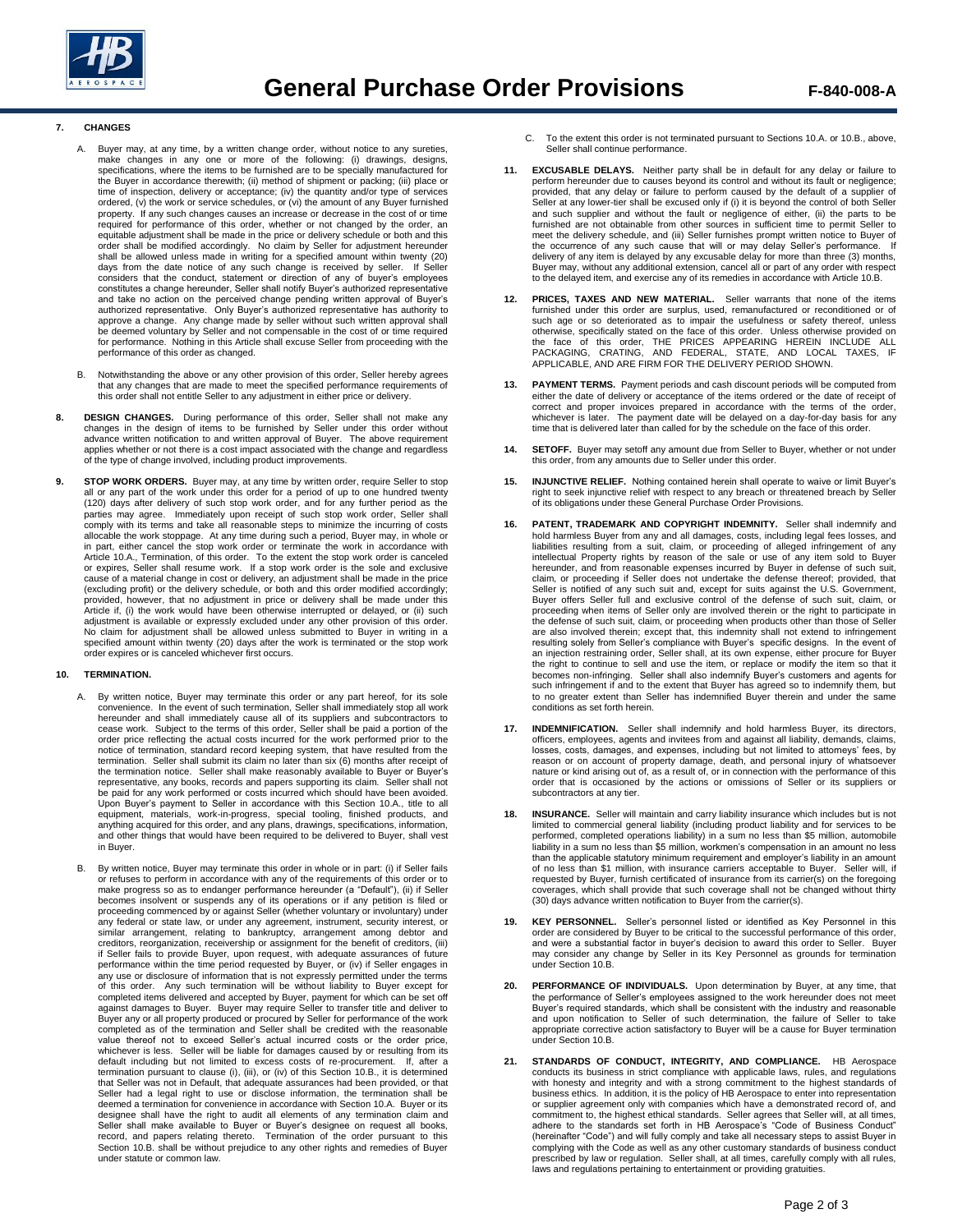

# **7. CHANGES**

- A. Buyer may, at any time, by a written change order, without notice to any sureties, make changes in any one or more of the following: (i) drawings, designs, specifications, where the items to be furnished are to be funct time of inspection, delivery or acceptance; (iv) the quantity and/or type of services ordered, (v) the work or service schedules, or (vi) the amount of any Buyer furnished property. If any such changes causes an increase or decrease in the cost of or time required for performance of this order, whether or not changed by the order, an equitable adjustment shall be made in the price or delivery schedule or both and this order shall be modified accordingly. No claim by Seller for adjustment hereunder shall be allowed unless made in writing for a specified amount within twenty (20) days from the date notice of any such change is received by seller. If Seller considers that the conduct, statement or direction of any of buyer's employees constitutes a change hereunder, Seller shall notify Buyer's authorized representative and take no action on the perceived change pending written approval of Buyer's<br>authorized representative. Only Buyer's authorized representative has authority to<br>approve a change. Any change made by seller without such w be deemed voluntary by Seller and not compensable in the cost of or time required for performance. Nothing in this Article shall excuse Seller from proceeding with the performance of this order as changed.
- B. Notwithstanding the above or any other provision of this order, Seller hereby agrees that any changes that are made to meet the specified performance requirements of this order shall not entitle Seller to any adjustment in either price or delivery.
- 8. DESIGN CHANGES. During performance of this order, Seller shall not make any changes in the design of items to be furnished by Seller under this order without<br>changes in the design of items to be furnished by Seller unde applies whether or not there is a cost impact associated with the change and regardless of the type of change involved, including product improvements.
- **9. STOP WORK ORDERS.** Buyer may, at any time by written order, require Seller to stop all or any part of the work under this order for a period of up to one hundred twenty (120) days after delivery of such stop work order, and for any further period as the<br>parties may agree. Immediately upon receipt of such stop work order, Seller shall<br>comply with its terms and take all reasonable steps to allocable the work stoppage. At any time during such a period, Buyer may, in whole or in part, either cancel the stop work order or terminate the work in accordance with Article 10.A., Termination, of this order. To the extent the stop work order is canceled or expires, Seller shall resume work. If a stop work order is the sole and exclusive cause of a material change in cost or delivery, an adjustment shall be made in the price (excluding profit) or the delivery schedule, or both and this order modified accordingly; provided, however, that no adjustment in price or delivery shall be made under this Article if, (i) the work would have been otherwise interrupted or delayed, or (ii) such adjustment is available or expressly excluded under any other provision of this order. No claim for adjustment shall be allowed unless submitted to Buyer in writing in a specified amount within twenty (20) days after the work is terminated or the stop work order expires or is canceled whichever first occurs.

# **10. TERMINATION.**

- A. By written notice, Buyer may terminate this order or any part hereof, for its sole convenience. In the event of such termination, Seller shall immediately stop all work hereunder and shall immediately cause all of its suppliers and subcontractors to cease work. Subject to the terms of this order, Seller shall be paid a portion of the order price reflecting the actual costs incurred for the work performed prior to the notice of termination, standard record keeping system, that have resulted from the termination. Seller shall submit its claim no later than six (6) months after receipt of the termination notice. Seller shall make reasonably available to Buyer or Buyer's representative, any books, records and papers supporting its claim. Seller shall not be paid for any work performed or costs incurred which should have been avoided. Upon Buyer's payment to Seller in accordance with this Section 10.A., title to all<br>equipment, materials, work-in-progress, special tooling, finished products, and<br>anything acquired for this order, and any plans, drawings, in Buyer.
- B. By written notice, Buyer may terminate this order in whole or in part: (i) if Seller fails or refuses to perform in accordance with any of the requirements of this order or to make progress so as to endanger performance hereunder (a "Default"), (ii) if Seller becomes insolvent or suspends any of its operations or if any petition is filed or proceeding commenced by or against Seller (whether voluntary or involuntary) under any federal or state law, or under any agreement, instrument, security interest, or similar arrangement, relating to bankruptcy, arrangement among debtor and creditors, reorganization, receivership or assignment for the benefit of creditors, (iii) if Seller fails to provide Buyer, upon request, with adequate assurances of future performance within the time period requested by Buyer, or (iv) if Seller engages in any use or disclosure of information that is not expressly permitted under the terms of this order. Any such termination will be without liability to Buyer except for completed items delivered and accepted by Buyer, payment for which can be set off against damages to Buyer. Buyer may require Seller to transfer title and deliver to Buyer any or all property produced or procured by Seller for performance of the work completed as of the termination and Seller shall be credited with the reasonable value thereof not to exceed Seller's actual incurred costs or the order price, whichever is less. Seller will be liable for damages caused by or resulting from its default including but not limited to excess costs of re-procurement. If, after a termination pursuant to clause (i), (iii), or (iv) of this Section 10.B., it is determined that Seller was not in Default, that adequate assurances had been provided, or that Seller had a legal right to use or disclose information, the termination shall be deemed a termination for convenience in accordance with Section 10.A. Buyer or its designee shall have the right to audit all elements of any termination claim and<br>Seller shall make available to Buyer or Buyer's designee on request all books,<br>record, and papers relating thereto. Termination of the order Section 10.B. shall be without prejudice to any other rights and remedies of Buyer under statute or common law.
- C. To the extent this order is not terminated pursuant to Sections 10.A. or 10.B., above, Seller shall continue performance.
- **11. EXCUSABLE DELAYS.** Neither party shall be in default for any delay or failure to perform hereunder due to causes beyond its control and without its fault or negligence; provided, that any delay or failure to perform caused by the default of a supplier of Seller at any lower-tier shall be excused only if (i) it is beyond the control of both Seller and such supplier and without the fault or negligence of either, (ii) the parts to be furnished are not obtainable from other sources in sufficient time to permit Seller to meet the delivery schedule, and (iii) Seller furnishes prompt written notice to Buyer of the occurrence of any such cause that will or may delay Seller's performance. If delivery of any item is delayed by any excusable delay for more than three (3) months,<br>Buyer may, without any additional extension, cancel all or part of any order with respect to the delayed item, and exercise any of its remedies in accordance with Article 10.B.
- **12. PRICES, TAXES AND NEW MATERIAL.** Seller warrants that none of the items furnished under this order are surplus, used, remanufactured or reconditioned or of such age or so deteriorated as to impair the usefulness or safety thereof, unless otherwise, specifically stated on the face of this order. Unless otherwise provided on<br>the face of this order, THE PRICES APPEARING HEREIN INCLUDE ALL<br>PACKAGING, CRATING, AND FEDERAL, STATE, AND LOCAL TAXES, IF APPLICABLE, AND ARE FIRM FOR THE DELIVERY PERIOD SHOWN.
- **13. PAYMENT TERMS.** Payment periods and cash discount periods will be computed from either the date of delivery or acceptance of the items ordered or the date of receipt of correct and proper invoices prepared in accordance with the terms of the order, whichever is later. The payment date will be delayed on a day-for-day basis for any time that is delivered later than called for by the schedule on the face of this order.
- **14. SETOFF.** Buyer may setoff any amount due from Seller to Buyer, whether or not under this order, from any amounts due to Seller under this order.
- **15. INJUNCTIVE RELIEF.** Nothing contained herein shall operate to waive or limit Buyer's<br>right to seek injunctive relief with respect to any breach or threatened breach by Seller<br>of its obligations under these General Pur
- **16. PATENT, TRADEMARK AND COPYRIGHT INDEMNITY.** Seller shall indemnify and hold harmless Buyer from any and all damages, costs, including legal fees losses, and liabilities resulting from a suit, claim, or proceeding of alleged infringement of any intellectual Property rights by reason of the sale or use of any item sold to Buyer hereunder, and from reasonable expenses incurred by Buyer in defense of such suit,<br>claim, or proceeding if Seller does not undertake the defense thereof; provided, that<br>Seller is notified of any such suit and, except for s proceeding when items of Seller only are involved therein or the right to participate in the defense of such suit, claim, or proceeding when products other than those of Seller are also involved therein; except that, this indemnity shall not extend to infringement resulting solely from Seller's compliance with Buyer's specific designs. In the event of an injection restraining order, Seller shall, at its own expense, either procure for Buyer the right to continue to sell and use the item, or replace or modify the item so that it becomes non-infringing. Seller shall also indemnify Buyer's customers and agents for such infringement if and to the extent that Buyer has agreed so to indemnify them, but to no greater extent than Seller has indemnified Buyer therein and under the same conditions as set forth herein.
- **17. INDEMNIFICATION.** Seller shall indemnify and hold harmless Buyer, its directors, officers, employees, agents and invitees from and against all liability, demands, claims, losses, costs, damages, and expenses, including but not limited to attorneys' fees, by<br>reason or on account of property damage, death, and personal injury of whatsoever<br>nature or kind arising out of, as a result of, or in order that is occasioned by the actions or omissions of Seller or its suppliers or subcontractors at any tier.
- **18. INSURANCE.** Seller will maintain and carry liability insurance which includes but is not limited to commercial general liability (including product liability and for services to be performed, completed operations liability) in a sum no less than \$5 million, automobile liability in a sum no less than \$5 million, workmen's compensation in an amount no less than the applicable statutory minimum requirement and employer's liability in an amount of no less than \$1 million, with insurance carriers acceptable to Buyer. Seller will, if requested by Buyer, furnish certificated of insurance from its carrier(s) on the foregoing coverages, which shall provide that such coverage shall not be changed without thirty (30) days advance written notification to Buyer from the carrier(s).
- **19. KEY PERSONNEL.** Seller's personnel listed or identified as Key Personnel in this order are considered by Buyer to be critical to the successful performance of this order, and were a substantial factor in buyer's decision to award this order to Seller. Buyer may consider any change by Seller in its Key Personnel as grounds for termination under Section 10.B.
- **20. PERFORMANCE OF INDIVIDUALS.** Upon determination by Buyer, at any time, that the performance of Seller's employees assigned to the work hereunder does not meet Buyer's required standards, which shall be consistent with the industry and reasonable and upon notification to Seller of such determination, the failure of Seller to take appropriate corrective action satisfactory to Buyer will be a cause for Buyer termination under Section 10.B.
- **21. STANDARDS OF CONDUCT, INTEGRITY, AND COMPLIANCE.** HB Aerospace conducts its business in strict compliance with applicable laws, rules, and regulations with honesty and integrity and with a strong commitment to the highest standards of business ethics. In addition, it is the policy of HB Aerospace to enter into representation or supplier agreement only with companies which have a demonstrated record of, and commitment to, the highest ethical standards. Seller agrees that Seller will, at all times, adhere to the standards set forth in HB Aerospace's "Code of Business Conduct" (hereinafter "Code") and will fully comply and take all necessary steps to assist Buyer in<br>complying with the Code as well as any other customary standards of business conduct<br>prescribed by law or regulation. Seller shall laws and regulations pertaining to entertainment or providing gratuities.